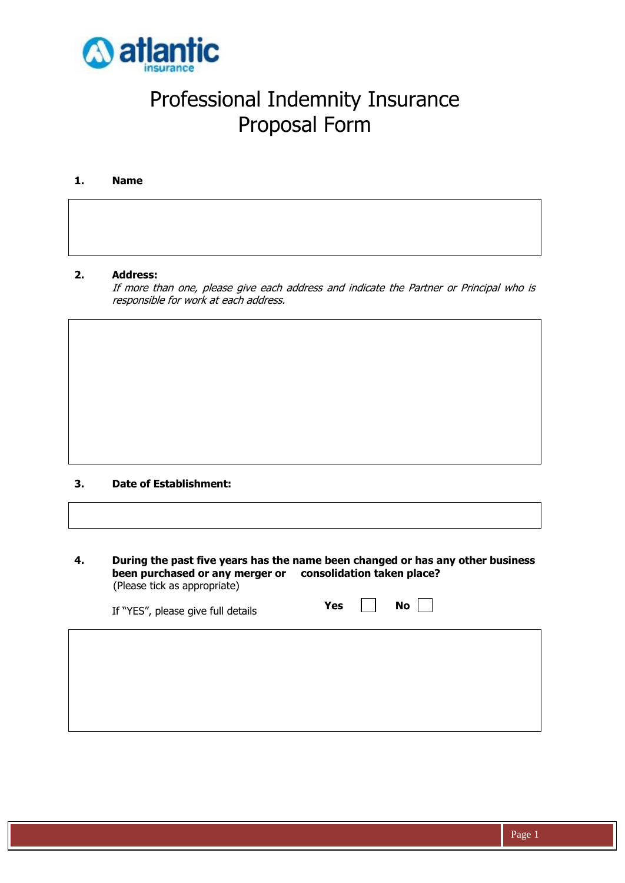

# Professional Indemnity Insurance Proposal Form

#### **1. Name**

#### **2. Address:**

If more than one, please give each address and indicate the Partner or Principal who is responsible for work at each address.

#### **3. Date of Establishment:**

**4. During the past five years has the name been changed or has any other business been purchased or any merger or consolidation taken place?** (Please tick as appropriate)

| If "YES", please give full details | Yes | <b>No</b> |  |
|------------------------------------|-----|-----------|--|
|                                    |     |           |  |
|                                    |     |           |  |
|                                    |     |           |  |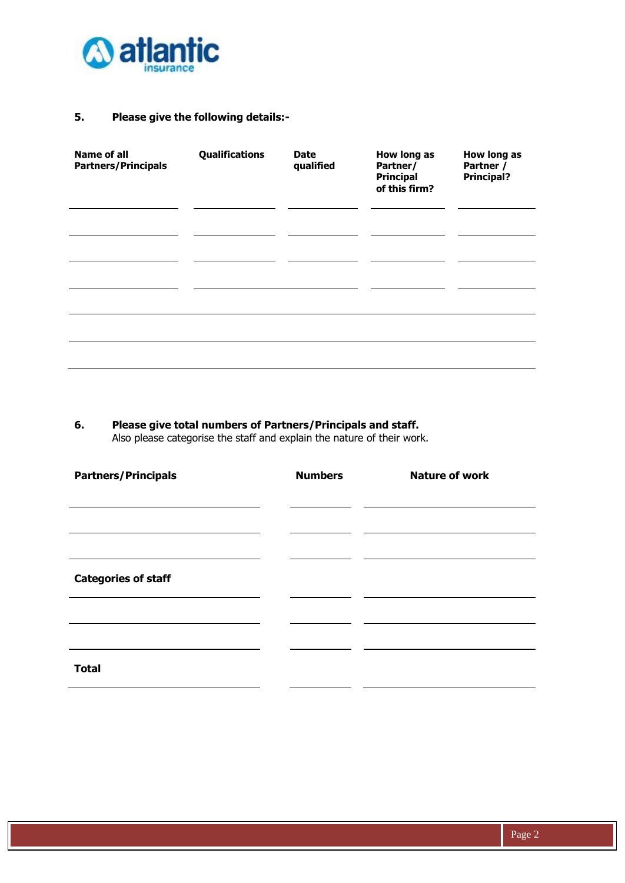

# **5. Please give the following details:-**

| <b>Name of all</b><br><b>Partners/Principals</b> | Qualifications | <b>Date</b><br>qualified | How long as<br>Partner/<br><b>Principal</b><br>of this firm? | How long as<br>Partner /<br><b>Principal?</b> |
|--------------------------------------------------|----------------|--------------------------|--------------------------------------------------------------|-----------------------------------------------|
|                                                  |                |                          |                                                              |                                               |
|                                                  |                |                          |                                                              |                                               |
|                                                  |                |                          |                                                              |                                               |
|                                                  |                |                          |                                                              |                                               |
|                                                  |                |                          |                                                              |                                               |

# **6. Please give total numbers of Partners/Principals and staff.**

Also please categorise the staff and explain the nature of their work.

| <b>Partners/Principals</b> | <b>Numbers</b> | <b>Nature of work</b> |
|----------------------------|----------------|-----------------------|
|                            |                |                       |
|                            |                |                       |
| <b>Categories of staff</b> |                |                       |
|                            |                |                       |
|                            |                |                       |
| <b>Total</b>               |                |                       |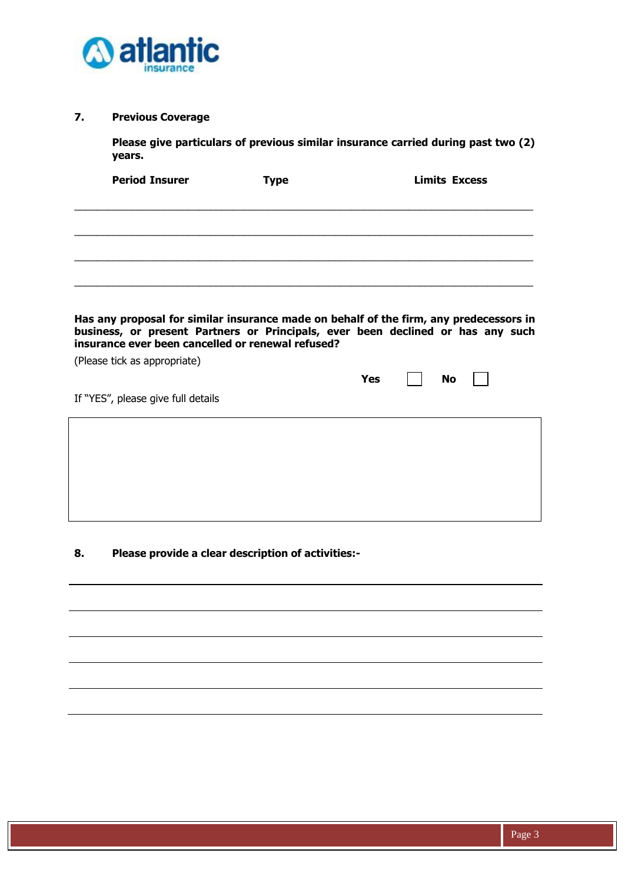

## **7. Previous Coverage**

**Please give particulars of previous similar insurance carried during past two (2) years.**

| <b>Period Insurer</b>                                                                                                                                                                                                          | <b>Type</b> |            | <b>Limits Excess</b> |  |
|--------------------------------------------------------------------------------------------------------------------------------------------------------------------------------------------------------------------------------|-------------|------------|----------------------|--|
|                                                                                                                                                                                                                                |             |            |                      |  |
|                                                                                                                                                                                                                                |             |            |                      |  |
|                                                                                                                                                                                                                                |             |            |                      |  |
|                                                                                                                                                                                                                                |             |            |                      |  |
|                                                                                                                                                                                                                                |             |            |                      |  |
|                                                                                                                                                                                                                                |             |            |                      |  |
| Has any proposal for similar insurance made on behalf of the firm, any predecessors in<br>business, or present Partners or Principals, ever been declined or has any such<br>insurance ever been cancelled or renewal refused? |             |            |                      |  |
| (Please tick as appropriate)                                                                                                                                                                                                   |             |            |                      |  |
|                                                                                                                                                                                                                                |             | <b>Yes</b> | No                   |  |
| If "YES", please give full details                                                                                                                                                                                             |             |            |                      |  |
|                                                                                                                                                                                                                                |             |            |                      |  |
|                                                                                                                                                                                                                                |             |            |                      |  |
|                                                                                                                                                                                                                                |             |            |                      |  |
|                                                                                                                                                                                                                                |             |            |                      |  |
|                                                                                                                                                                                                                                |             |            |                      |  |

# **8. Please provide a clear description of activities:-**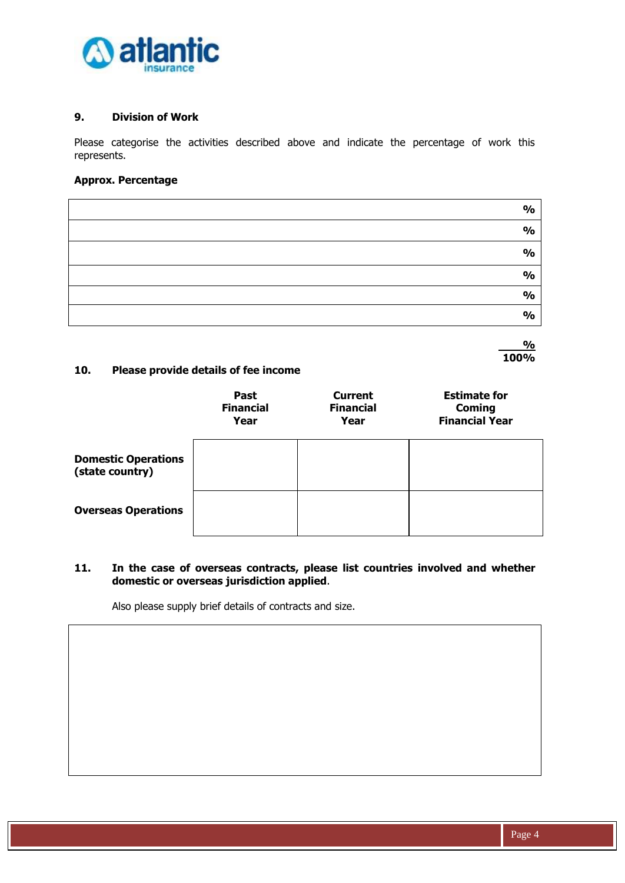

#### **9. Division of Work**

Please categorise the activities described above and indicate the percentage of work this represents.

## **Approx. Percentage**

| $\frac{1}{2}$ |
|---------------|
| $\frac{1}{2}$ |
| $\frac{1}{2}$ |
| $\frac{1}{2}$ |
| $\frac{1}{2}$ |
| $\frac{1}{2}$ |

 **% 100%**

#### **10. Please provide details of fee income**

|                                               | <b>Past</b><br><b>Financial</b><br>Year | <b>Current</b><br><b>Financial</b><br>Year | <b>Estimate for</b><br><b>Coming</b><br><b>Financial Year</b> |
|-----------------------------------------------|-----------------------------------------|--------------------------------------------|---------------------------------------------------------------|
| <b>Domestic Operations</b><br>(state country) |                                         |                                            |                                                               |
| <b>Overseas Operations</b>                    |                                         |                                            |                                                               |

#### **11. In the case of overseas contracts, please list countries involved and whether domestic or overseas jurisdiction applied**.

Also please supply brief details of contracts and size.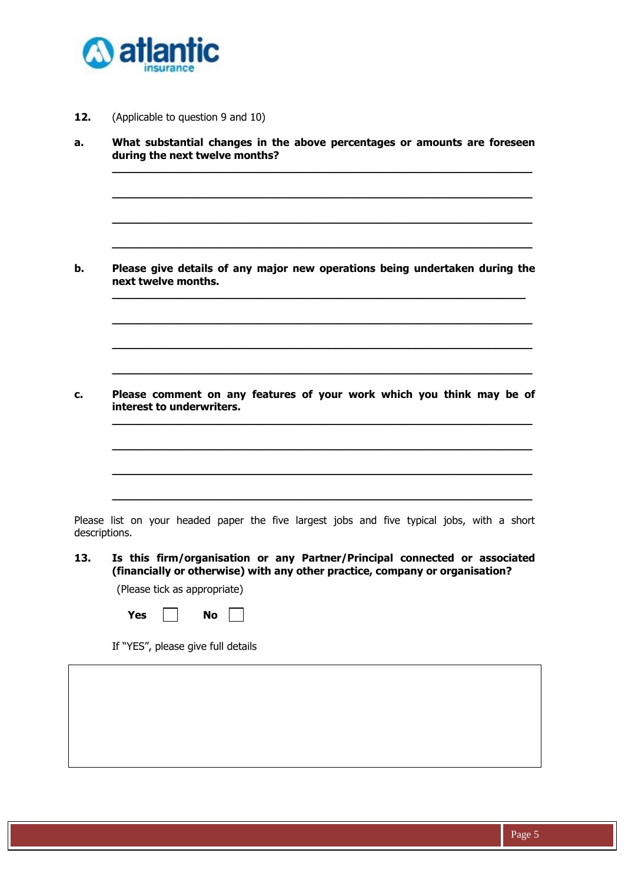

**12.** (Applicable to question 9 and 10)

| What substantial changes in the above percentages or amounts are foreseen<br>during the next twelve months?                                                                                         |
|-----------------------------------------------------------------------------------------------------------------------------------------------------------------------------------------------------|
|                                                                                                                                                                                                     |
|                                                                                                                                                                                                     |
| Please give details of any major new operations being undertaken during the<br>next twelve months.                                                                                                  |
|                                                                                                                                                                                                     |
|                                                                                                                                                                                                     |
| Please comment on any features of your work which you think may be of<br>interest to underwriters.                                                                                                  |
|                                                                                                                                                                                                     |
|                                                                                                                                                                                                     |
|                                                                                                                                                                                                     |
| descriptions.                                                                                                                                                                                       |
|                                                                                                                                                                                                     |
| (financially or otherwise) with any other practice, company or organisation?<br>(Please tick as appropriate)                                                                                        |
| Please list on your headed paper the five largest jobs and five typical jobs, with a short<br>Is this firm/organisation or any Partner/Principal connected or associated<br><b>Yes</b><br><b>No</b> |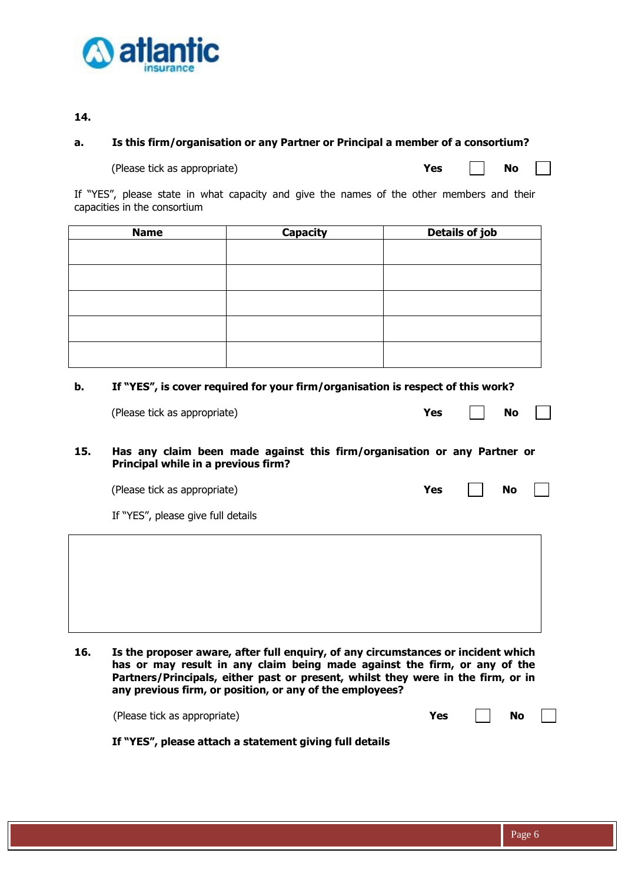

#### **14.**

#### **a. Is this firm/organisation or any Partner or Principal a member of a consortium?**

(Please tick as appropriate) **Yes No**

If "YES", please state in what capacity and give the names of the other members and their capacities in the consortium

| <b>Name</b> | <b>Capacity</b> | Details of job |
|-------------|-----------------|----------------|
|             |                 |                |
|             |                 |                |
|             |                 |                |
|             |                 |                |
|             |                 |                |
|             |                 |                |
|             |                 |                |
|             |                 |                |
|             |                 |                |
|             |                 |                |

#### **b. If "YES", is cover required for your firm/organisation is respect of this work?**

| (Please tick as appropriate) | Yes | <b>No</b> |  |  |
|------------------------------|-----|-----------|--|--|
|------------------------------|-----|-----------|--|--|

**15. Has any claim been made against this firm/organisation or any Partner or Principal while in a previous firm?**

(Please tick as appropriate) **Yes No**

If "YES", please give full details

**16. Is the proposer aware, after full enquiry, of any circumstances or incident which has or may result in any claim being made against the firm, or any of the Partners/Principals, either past or present, whilst they were in the firm, or in any previous firm, or position, or any of the employees?**

| (Please tick as appropriate) | Yes | $\Box$ No $\Box$ |  |
|------------------------------|-----|------------------|--|
|                              |     |                  |  |

|  |  |  | If "YES", please attach a statement giving full details |  |  |
|--|--|--|---------------------------------------------------------|--|--|
|--|--|--|---------------------------------------------------------|--|--|